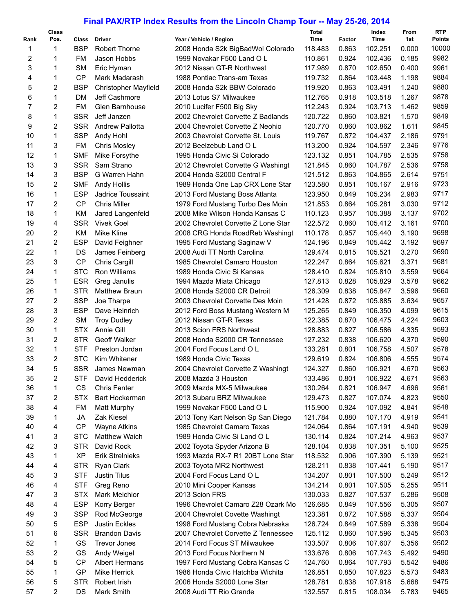## **Final PAX/RTP Index Results from the Lincoln Champ Tour -- May 25-26, 2014**

|      | <b>Class</b>   |            |                                 |                                     | Total       |        | Index   | From  | <b>RTP</b> |
|------|----------------|------------|---------------------------------|-------------------------------------|-------------|--------|---------|-------|------------|
| Rank | Pos.           | Class      | <b>Driver</b>                   | Year / Vehicle / Region             | <b>Time</b> | Factor | Time    | 1st   | Points     |
| 1    | 1              | <b>BSP</b> | Robert Thorne                   | 2008 Honda S2k BigBadWol Colorado   | 118.483     | 0.863  | 102.251 | 0.000 | 10000      |
| 2    | 1              | <b>FM</b>  | Jason Hobbs                     | 1999 Novakar F500 Land O L          | 110.861     | 0.924  | 102.436 | 0.185 | 9982       |
| 3    | 1              | <b>SM</b>  | Eric Hyman                      | 2012 Nissan GT-R Northwest          | 117.989     | 0.870  | 102.650 | 0.400 | 9961       |
| 4    | 1              | <b>CP</b>  | Mark Madarash                   | 1988 Pontiac Trans-am Texas         | 119.732     | 0.864  | 103.448 | 1.198 | 9884       |
| 5    | 2              | <b>BSP</b> | <b>Christopher Mayfield</b>     | 2008 Honda S2k BBW Colorado         | 119.920     | 0.863  | 103.491 | 1.240 | 9880       |
| 6    | $\mathbf{1}$   | <b>DM</b>  | Jeff Cashmore                   | 2013 Lotus S7 Milwaukee             | 112.765     | 0.918  | 103.518 | 1.267 | 9878       |
| 7    | 2              | <b>FM</b>  | Glen Barnhouse                  | 2010 Lucifer F500 Big Sky           | 112.243     | 0.924  | 103.713 | 1.462 | 9859       |
| 8    | 1              | <b>SSR</b> | Jeff Janzen                     | 2002 Chevrolet Corvette Z Badlands  | 120.722     | 0.860  | 103.821 | 1.570 | 9849       |
| 9    | $\overline{2}$ | <b>SSR</b> | <b>Andrew Pallotta</b>          | 2004 Chevrolet Corvette Z Neohio    | 120.770     | 0.860  | 103.862 | 1.611 | 9845       |
| 10   | 1              | <b>SSP</b> | Andy Hohl                       | 2003 Chevrolet Corvette St. Louis   | 119.767     | 0.872  | 104.437 | 2.186 | 9791       |
| 11   | 3              | <b>FM</b>  | <b>Chris Mosley</b>             | 2012 Beelzebub Land O L             | 113.200     | 0.924  | 104.597 | 2.346 | 9776       |
| 12   | $\mathbf{1}$   | <b>SMF</b> | Mike Forsythe                   | 1995 Honda Civic Si Colorado        | 123.132     | 0.851  | 104.785 | 2.535 | 9758       |
| 13   | 3              | <b>SSR</b> | Sam Strano                      | 2012 Chevrolet Corvette G Washingt  | 121.845     | 0.860  | 104.787 | 2.536 | 9758       |
| 14   | 3              | <b>BSP</b> | G Warren Hahn                   | 2004 Honda S2000 Central F          | 121.512     | 0.863  | 104.865 | 2.614 | 9751       |
| 15   | 2              | <b>SMF</b> | <b>Andy Hollis</b>              | 1989 Honda One Lap CRX Lone Star    | 123.580     | 0.851  | 105.167 | 2.916 | 9723       |
| 16   | 1              | <b>ESP</b> | Jadrice Toussaint               | 2013 Ford Mustang Boss Atlanta      | 123.950     | 0.849  | 105.234 | 2.983 | 9717       |
| 17   | 2              | <b>CP</b>  | <b>Chris Miller</b>             | 1979 Ford Mustang Turbo Des Moin    | 121.853     | 0.864  | 105.281 | 3.030 | 9712       |
| 18   | $\mathbf{1}$   | KM         | Jared Langenfeld                | 2008 Mike Wilson Honda Kansas C     | 110.123     | 0.957  | 105.388 | 3.137 | 9702       |
| 19   | 4              | <b>SSR</b> | <b>Vivek Goel</b>               | 2002 Chevrolet Corvette Z Lone Star | 122.572     | 0.860  | 105.412 | 3.161 | 9700       |
| 20   | 2              | KM         | Mike Kline                      | 2008 CRG Honda RoadReb Washingt     | 110.178     | 0.957  | 105.440 | 3.190 | 9698       |
| 21   | $\overline{2}$ | <b>ESP</b> | David Feighner                  | 1995 Ford Mustang Saginaw V         | 124.196     | 0.849  | 105.442 | 3.192 | 9697       |
| 22   | 1              | DS         |                                 | 2008 Audi TT North Carolina         | 129.474     | 0.815  | 105.521 | 3.270 | 9690       |
| 23   | 3              | <b>CP</b>  | James Feinberg<br>Chris Cargill | 1985 Chevrolet Camaro Houston       | 122.247     | 0.864  | 105.621 | 3.371 | 9681       |
| 24   | $\mathbf{1}$   | <b>STC</b> |                                 |                                     |             |        |         |       | 9664       |
|      |                |            | Ron Williams                    | 1989 Honda Civic Si Kansas          | 128.410     | 0.824  | 105.810 | 3.559 |            |
| 25   | 1              | <b>ESR</b> | Greg Janulis                    | 1994 Mazda Miata Chicago            | 127.813     | 0.828  | 105.829 | 3.578 | 9662       |
| 26   | $\mathbf{1}$   | <b>STR</b> | <b>Matthew Braun</b>            | 2008 Honda S2000 CR Detroit         | 126.309     | 0.838  | 105.847 | 3.596 | 9660       |
| 27   | 2              | <b>SSP</b> | Joe Tharpe                      | 2003 Chevrolet Corvette Des Moin    | 121.428     | 0.872  | 105.885 | 3.634 | 9657       |
| 28   | 3              | <b>ESP</b> | Dave Heinrich                   | 2012 Ford Boss Mustang Western M    | 125.265     | 0.849  | 106.350 | 4.099 | 9615       |
| 29   | 2              | <b>SM</b>  | <b>Troy Dudley</b>              | 2012 Nissan GT-R Texas              | 122.385     | 0.870  | 106.475 | 4.224 | 9603       |
| 30   | 1              | <b>STX</b> | Annie Gill                      | 2013 Scion FRS Northwest            | 128.883     | 0.827  | 106.586 | 4.335 | 9593       |
| 31   | 2              | <b>STR</b> | Geoff Walker                    | 2008 Honda S2000 CR Tennessee       | 127.232     | 0.838  | 106.620 | 4.370 | 9590       |
| 32   | $\mathbf{1}$   | <b>STF</b> | Preston Jordan                  | 2004 Ford Focus Land O L            | 133.281     | 0.801  | 106.758 | 4.507 | 9578       |
| 33   | 2              | <b>STC</b> | Kim Whitener                    | 1989 Honda Civic Texas              | 129.619     | 0.824  | 106.806 | 4.555 | 9574       |
| 34   | 5              | <b>SSR</b> | James Newman                    | 2004 Chevrolet Corvette Z Washingt  | 124.327     | 0.860  | 106.921 | 4.670 | 9563       |
| 35   | 2              | STF        | David Hedderick                 | 2008 Mazda 3 Houston                | 133.486     | 0.801  | 106.922 | 4.671 | 9563       |
| 36   | 1              | CS         | <b>Chris Fenter</b>             | 2009 Mazda MX-5 Milwaukee           | 130.264     | 0.821  | 106.947 | 4.696 | 9561       |
| 37   | 2              | <b>STX</b> | Bart Hockerman                  | 2013 Subaru BRZ Milwaukee           | 129.473     | 0.827  | 107.074 | 4.823 | 9550       |
| 38   | 4              | <b>FM</b>  | Matt Murphy                     | 1999 Novakar F500 Land O L          | 115.900     | 0.924  | 107.092 | 4.841 | 9548       |
| 39   | 1              | JA         | Zak Kiesel                      | 2013 Tony Kart Nelson Sp San Diego  | 121.784     | 0.880  | 107.170 | 4.919 | 9541       |
| 40   | 4              | CP         | <b>Wayne Atkins</b>             | 1985 Chevrolet Camaro Texas         | 124.064     | 0.864  | 107.191 | 4.940 | 9539       |
| 41   | 3              | <b>STC</b> | <b>Matthew Waich</b>            | 1989 Honda Civic Si Land O L        | 130.114     | 0.824  | 107.214 | 4.963 | 9537       |
| 42   | 3              | <b>STR</b> | David Rock                      | 2002 Toyota Spyder Arizona B        | 128.104     | 0.838  | 107.351 | 5.100 | 9525       |
| 43   | 1              | <b>XP</b>  | <b>Erik Strelnieks</b>          | 1993 Mazda RX-7 R1 20BT Lone Star   | 118.532     | 0.906  | 107.390 | 5.139 | 9521       |
| 44   | 4              | <b>STR</b> | Ryan Clark                      | 2003 Toyota MR2 Northwest           | 128.211     | 0.838  | 107.441 | 5.190 | 9517       |
| 45   | 3              | <b>STF</b> | <b>Justin Tilus</b>             | 2004 Ford Focus Land O L            | 134.207     | 0.801  | 107.500 | 5.249 | 9512       |
| 46   | 4              | <b>STF</b> | Greg Reno                       | 2010 Mini Cooper Kansas             | 134.214     | 0.801  | 107.505 | 5.255 | 9511       |
| 47   | 3              | <b>STX</b> | <b>Mark Meichior</b>            | 2013 Scion FRS                      | 130.033     | 0.827  | 107.537 | 5.286 | 9508       |
| 48   | 4              | <b>ESP</b> | Korry Berger                    | 1996 Chevrolet Camaro Z28 Ozark Mo  | 126.685     | 0.849  | 107.556 | 5.305 | 9507       |
| 49   | 3              | <b>SSP</b> | Rod McGeorge                    | 2004 Chevrolet Covette Washingt     | 123.381     | 0.872  | 107.588 | 5.337 | 9504       |
| 50   | 5              | <b>ESP</b> | Justin Eckles                   | 1998 Ford Mustang Cobra Nebraska    | 126.724     | 0.849  | 107.589 | 5.338 | 9504       |
| 51   | 6              | <b>SSR</b> | <b>Brandon Davis</b>            | 2007 Chevrolet Corvette Z Tennessee | 125.112     | 0.860  | 107.596 | 5.345 | 9503       |
| 52   | 1              | GS         | <b>Trevor Jones</b>             | 2014 Ford Focus ST Milwaukee        | 133.507     | 0.806  | 107.607 | 5.356 | 9502       |
| 53   | 2              | GS         | Andy Weigel                     | 2013 Ford Focus Northern N          | 133.676     | 0.806  | 107.743 | 5.492 | 9490       |
| 54   | 5              | <b>CP</b>  | <b>Albert Hermans</b>           | 1997 Ford Mustang Cobra Kansas C    | 124.760     | 0.864  | 107.793 | 5.542 | 9486       |
| 55   | 1              | GP         | Mike Herrick                    | 1986 Honda Civic Hatchba Wichita    | 126.851     | 0.850  | 107.823 | 5.573 | 9483       |
| 56   | 5              | <b>STR</b> | Robert Irish                    | 2006 Honda S2000 Lone Star          | 128.781     | 0.838  | 107.918 | 5.668 | 9475       |
| 57   | 2              | DS         | Mark Smith                      | 2008 Audi TT Rio Grande             | 132.557     | 0.815  | 108.034 | 5.783 | 9465       |
|      |                |            |                                 |                                     |             |        |         |       |            |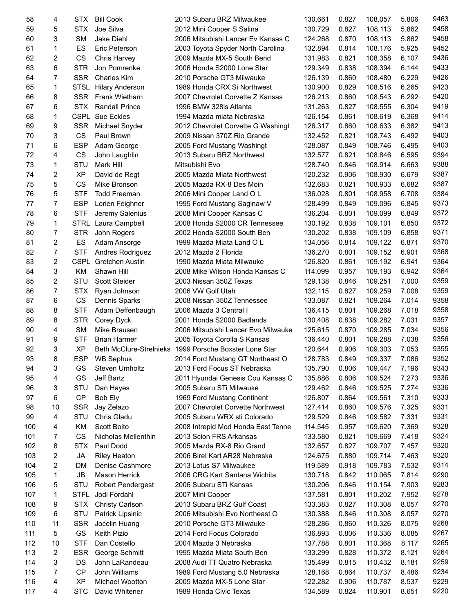| 58  | 4              | STX         | <b>Bill Cook</b>         | 2013 Subaru BRZ Milwaukee           | 130.661 | 0.827 | 108.057 | 5.806 | 9463 |
|-----|----------------|-------------|--------------------------|-------------------------------------|---------|-------|---------|-------|------|
| 59  | 5              | <b>STX</b>  | Joe Silva                | 2012 Mini Cooper S Salina           | 130.729 | 0.827 | 108.113 | 5.862 | 9458 |
| 60  | 3              | SМ          | Jake Diehl               | 2006 Mitsubishi Lancer Ev Kansas C  | 124.268 | 0.870 | 108.113 | 5.862 | 9458 |
| 61  | 1              | ES          | Eric Peterson            | 2003 Toyota Spyder North Carolina   | 132.894 | 0.814 | 108.176 | 5.925 | 9452 |
| 62  | 2              | CS          | Chris Harvey             | 2009 Mazda MX-5 South Bend          | 131.983 | 0.821 | 108.358 | 6.107 | 9436 |
| 63  | 6              | <b>STR</b>  | Jon Pomrenke             | 2006 Honda S2000 Lone Star          | 129.349 | 0.838 | 108.394 | 6.144 | 9433 |
| 64  | 7              | <b>SSR</b>  | <b>Charles Kim</b>       | 2010 Porsche GT3 Milwauke           | 126.139 | 0.860 | 108.480 | 6.229 | 9426 |
|     |                |             |                          |                                     |         |       |         |       | 9423 |
| 65  | $\mathbf{1}$   | STSL        | <b>Hilary Anderson</b>   | 1989 Honda CRX Si Northwest         | 130.900 | 0.829 | 108.516 | 6.265 |      |
| 66  | 8              | <b>SSR</b>  | <b>Frank Wietharn</b>    | 2007 Chevrolet Corvette Z Kansas    | 126.213 | 0.860 | 108.543 | 6.292 | 9420 |
| 67  | 6              | STX.        | <b>Randall Prince</b>    | 1996 BMW 328is Atlanta              | 131.263 | 0.827 | 108.555 | 6.304 | 9419 |
| 68  | 1              |             | <b>CSPL Sue Eckles</b>   | 1994 Mazda miata Nebraska           | 126.154 | 0.861 | 108.619 | 6.368 | 9414 |
| 69  | 9              | <b>SSR</b>  | Michael Snyder           | 2012 Chevrolet Corvette G Washingt  | 126.317 | 0.860 | 108.633 | 6.382 | 9413 |
| 70  | 3              | <b>CS</b>   | Paul Brown               | 2009 Nissan 370Z Rio Grande         | 132.452 | 0.821 | 108.743 | 6.492 | 9403 |
| 71  | 6              | <b>ESP</b>  | Adam George              | 2005 Ford Mustang Washingt          | 128.087 | 0.849 | 108.746 | 6.495 | 9403 |
| 72  | 4              | CS          | John Laughlin            | 2013 Subaru BRZ Northwest           | 132.577 | 0.821 | 108.846 | 6.595 | 9394 |
| 73  | 1              | STU         | Mark Hill                | Mitsubishi Evo                      | 128.740 | 0.846 | 108.914 | 6.663 | 9388 |
| 74  | 2              | <b>XP</b>   | David de Regt            | 2005 Mazda Miata Northwest          | 120.232 | 0.906 | 108.930 | 6.679 | 9387 |
| 75  | 5              | CS          | Mike Bronson             | 2005 Mazda RX-8 Des Moin            | 132.683 | 0.821 | 108.933 | 6.682 | 9387 |
| 76  | 5              | <b>STF</b>  | <b>Todd Freeman</b>      | 2006 Mini Cooper Land O L           | 136.028 | 0.801 | 108.958 | 6.708 | 9384 |
| 77  | $\overline{7}$ | <b>ESP</b>  | Lorien Feighner          | 1995 Ford Mustang Saginaw V         | 128.499 | 0.849 | 109.096 | 6.845 | 9373 |
| 78  | 6              | <b>STF</b>  | Jeremy Salenius          | 2008 Mini Cooper Kansas C           | 136.204 | 0.801 | 109.099 | 6.849 | 9372 |
| 79  | $\mathbf{1}$   |             | STRL Laura Campbell      | 2008 Honda S2000 CR Tennessee       | 130.192 | 0.838 | 109.101 | 6.850 | 9372 |
| 80  | 7              | <b>STR</b>  |                          | 2002 Honda S2000 South Ben          | 130.202 | 0.838 | 109.109 | 6.858 | 9371 |
|     |                |             | John Rogers              |                                     |         |       |         |       |      |
| 81  | $\overline{2}$ | ES          | Adam Ansorge             | 1999 Mazda Miata Land O L           | 134.056 | 0.814 | 109.122 | 6.871 | 9370 |
| 82  | 7              | <b>STF</b>  | Andres Rodriguez         | 2012 Mazda 2 Florida                | 136.270 | 0.801 | 109.152 | 6.901 | 9368 |
| 83  | $\overline{2}$ | <b>CSPL</b> | <b>Gretchen Austin</b>   | 1990 Mazda Miata Milwauke           | 126.820 | 0.861 | 109.192 | 6.941 | 9364 |
| 84  | 3              | KM          | Shawn Hill               | 2008 Mike Wilson Honda Kansas C     | 114.099 | 0.957 | 109.193 | 6.942 | 9364 |
| 85  | $\overline{2}$ | <b>STU</b>  | Scott Steider            | 2003 Nissan 350Z Texas              | 129.138 | 0.846 | 109.251 | 7.000 | 9359 |
| 86  | 7              | <b>STX</b>  | Ryan Johnson             | 2006 VW Golf Utah                   | 132.115 | 0.827 | 109.259 | 7.008 | 9359 |
| 87  | 6              | <b>CS</b>   | Dennis Sparks            | 2008 Nissan 350Z Tennessee          | 133.087 | 0.821 | 109.264 | 7.014 | 9358 |
| 88  | 8              | <b>STF</b>  | Adam Deffenbaugh         | 2006 Mazda 3 Central I              | 136.415 | 0.801 | 109.268 | 7.018 | 9358 |
| 89  | 8              | <b>STR</b>  | Corey Dyck               | 2001 Honda S2000 Badlands           | 130.408 | 0.838 | 109.282 | 7.031 | 9357 |
| 90  | 4              | <b>SM</b>   | Mike Brausen             | 2006 Mitsubishi Lancer Evo Milwauke | 125.615 | 0.870 | 109.285 | 7.034 | 9356 |
| 91  | 9              | <b>STF</b>  | <b>Brian Harmer</b>      | 2005 Toyota Corolla S Kansas        | 136.440 | 0.801 | 109.288 | 7.038 | 9356 |
| 92  | 3              | <b>XP</b>   | Beth McClure-Strelnieks  | 1999 Porsche Boxster Lone Star      | 120.644 | 0.906 | 109.303 | 7.053 | 9355 |
| 93  | 8              | <b>ESP</b>  | <b>WB Sephus</b>         | 2014 Ford Mustang GT Northeast O    | 128.783 | 0.849 | 109.337 | 7.086 | 9352 |
| 94  | 3              | GS          | Steven Umholtz           | 2013 Ford Focus ST Nebraska         | 135.790 | 0.806 | 109.447 | 7.196 | 9343 |
| 95  | 4              | GS          | Jeff Bartz               | 2011 Hyundai Genesis Cou Kansas C   | 135.886 | 0.806 | 109.524 | 7.273 | 9336 |
|     | 3              | STU         |                          | 2005 Subaru STi Milwauke            |         |       |         |       | 9336 |
| 96  |                |             | Dan Hayes                |                                     | 129.462 | 0.846 | 109.525 | 7.274 |      |
| 97  | 6              | <b>CP</b>   | Bob Ely                  | 1969 Ford Mustang Continent         | 126.807 | 0.864 | 109.561 | 7.310 | 9333 |
| 98  | 10             | <b>SSR</b>  | Jay Zelazo               | 2007 Chevrolet Corvette Northwest   | 127.414 | 0.860 | 109.576 | 7.325 | 9331 |
| 99  | 4              | STU         | Chris Gladu              | 2005 Subaru WRX sti Colorado        | 129.529 | 0.846 | 109.582 | 7.331 | 9331 |
| 100 | 4              | ΚM          | Scott Boito              | 2008 Intrepid Mod Honda East Tenne  | 114.545 | 0.957 | 109.620 | 7.369 | 9328 |
| 101 | 7              | CS          | Nicholas Mellenthin      | 2013 Scion FRS Arkansas             | 133.580 | 0.821 | 109.669 | 7.418 | 9324 |
| 102 | 8              | <b>STX</b>  | Paul Dodd                | 2005 Mazda RX-8 Rio Grand           | 132.657 | 0.827 | 109.707 | 7.457 | 9320 |
| 103 | 2              | JA          | <b>Riley Heaton</b>      | 2006 Birel Kart AR28 Nebraska       | 124.675 | 0.880 | 109.714 | 7.463 | 9320 |
| 104 | 2              | DM          | Denise Cashmore          | 2013 Lotus S7 Milwaukee             | 119.589 | 0.918 | 109.783 | 7.532 | 9314 |
| 105 | 1              | JB          | Mason Herrick            | 2006 CRG Kart Santana Wichita       | 130.718 | 0.842 | 110.065 | 7.814 | 9290 |
| 106 | 5              | STU         | <b>Robert Pendergest</b> | 2006 Subaru STi Kansas              | 130.206 | 0.846 | 110.154 | 7.903 | 9283 |
| 107 | 1              | <b>STFL</b> | Jodi Fordahl             | 2007 Mini Cooper                    | 137.581 | 0.801 | 110.202 | 7.952 | 9278 |
| 108 | 9              | <b>STX</b>  | Christy Carlson          | 2013 Subaru BRZ Gulf Coast          | 133.383 | 0.827 | 110.308 | 8.057 | 9270 |
| 109 | 6              | STU         | Patrick Lipsinic         | 2006 Mitsubishi Evo Northeast O     | 130.388 | 0.846 | 110.308 | 8.057 | 9270 |
| 110 | 11             | <b>SSR</b>  | Jocelin Huang            | 2010 Porsche GT3 Milwauke           | 128.286 | 0.860 | 110.326 | 8.075 | 9268 |
| 111 | 5              | GS          |                          |                                     |         |       |         |       | 9267 |
|     |                |             | Keith Pizio              | 2014 Ford Focus Colorado            | 136.893 | 0.806 | 110.336 | 8.085 |      |
| 112 | 10             | <b>STF</b>  | Dan Costello             | 2004 Mazda 3 Nebraska               | 137.788 | 0.801 | 110.368 | 8.117 | 9265 |
| 113 | 2              | ESR         | George Schmitt           | 1995 Mazda Miata South Ben          | 133.299 | 0.828 | 110.372 | 8.121 | 9264 |
| 114 | 3              | DS          | John LaRandeau           | 2008 Audi TT Quatro Nebraska        | 135.499 | 0.815 | 110.432 | 8.181 | 9259 |
| 115 | 7              | <b>CP</b>   | John Williams            | 1989 Ford Mustang 5.0 Nebraska      | 128.168 | 0.864 | 110.737 | 8.486 | 9234 |
| 116 | 4              | ХP          | Michael Wootton          | 2005 Mazda MX-5 Lone Star           | 122.282 | 0.906 | 110.787 | 8.537 | 9229 |
| 117 | 4              | <b>STC</b>  | David Whitener           | 1989 Honda Civic Texas              | 134.589 | 0.824 | 110.901 | 8.651 | 9220 |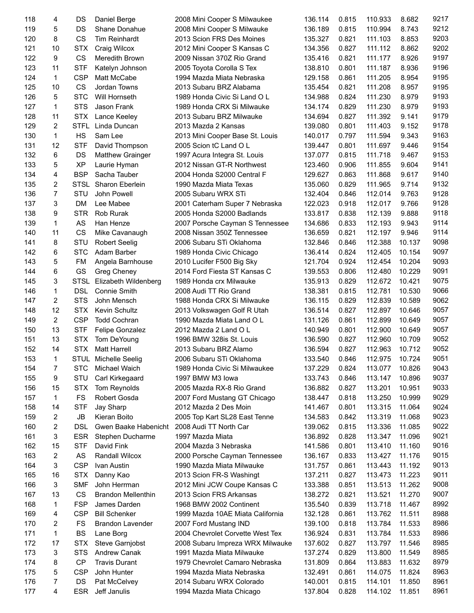| 118 | 4            | DS          | Daniel Berge              | 2008 Mini Cooper S Milwaukee     | 136.114 | 0.815 | 110.933 | 8.682  | 9217 |
|-----|--------------|-------------|---------------------------|----------------------------------|---------|-------|---------|--------|------|
| 119 | 5            | DS          | Shane Donahue             | 2008 Mini Cooper S Milwauke      | 136.189 | 0.815 | 110.994 | 8.743  | 9212 |
| 120 | 8            | <b>CS</b>   | <b>Tim Reinhardt</b>      | 2013 Scion FRS Des Moines        | 135.327 | 0.821 | 111.103 | 8.853  | 9203 |
| 121 | 10           | <b>STX</b>  | Craig Wilcox              | 2012 Mini Cooper S Kansas C      | 134.356 | 0.827 | 111.112 | 8.862  | 9202 |
| 122 | 9            | <b>CS</b>   | Meredith Brown            | 2009 Nissan 370Z Rio Grand       | 135.416 | 0.821 | 111.177 | 8.926  | 9197 |
| 123 | 11           | <b>STF</b>  | Katelyn Johnson           | 2005 Toyota Corolla S Tex        | 138.810 | 0.801 | 111.187 | 8.936  | 9196 |
| 124 | 1            | <b>CSP</b>  | Matt McCabe               | 1994 Mazda Miata Nebraska        | 129.158 | 0.861 | 111.205 | 8.954  | 9195 |
| 125 | 10           | <b>CS</b>   | Jordan Towns              | 2013 Subaru BRZ Alabama          | 135.454 | 0.821 | 111.208 | 8.957  | 9195 |
| 126 | 5            | <b>STC</b>  | Will Hornseth             | 1989 Honda Civic Si Land O L     | 134.988 | 0.824 | 111.230 | 8.979  | 9193 |
| 127 | 1            | <b>STS</b>  | Jason Frank               | 1989 Honda CRX Si Milwauke       | 134.174 | 0.829 | 111.230 | 8.979  | 9193 |
|     | 11           |             |                           |                                  |         |       |         |        | 9179 |
| 128 |              | <b>STX</b>  | Lance Keeley              | 2013 Subaru BRZ Milwauke         | 134.694 | 0.827 | 111.392 | 9.141  |      |
| 129 | 2            | <b>STFL</b> | Linda Duncan              | 2013 Mazda 2 Kansas              | 139.080 | 0.801 | 111.403 | 9.152  | 9178 |
| 130 | 1            | HS          | Sam Lee                   | 2013 Mini Cooper Base St. Louis  | 140.017 | 0.797 | 111.594 | 9.343  | 9163 |
| 131 | 12           | <b>STF</b>  | David Thompson            | 2005 Scion tC Land O L           | 139.447 | 0.801 | 111.697 | 9.446  | 9154 |
| 132 | 6            | DS          | <b>Matthew Grainger</b>   | 1997 Acura Integra St. Louis     | 137.077 | 0.815 | 111.718 | 9.467  | 9153 |
| 133 | 5            | <b>XP</b>   | Laurie Hyman              | 2012 Nissan GT-R Northwest       | 123.460 | 0.906 | 111.855 | 9.604  | 9141 |
| 134 | 4            | <b>BSP</b>  | Sacha Tauber              | 2004 Honda S2000 Central F       | 129.627 | 0.863 | 111.868 | 9.617  | 9140 |
| 135 | 2            | <b>STSL</b> | Sharon Eberlein           | 1990 Mazda Miata Texas           | 135.060 | 0.829 | 111.965 | 9.714  | 9132 |
| 136 | 7            | STU         | John Powell               | 2005 Subaru WRX STi              | 132.404 | 0.846 | 112.014 | 9.763  | 9128 |
| 137 | 3            | <b>DM</b>   | Lee Mabee                 | 2001 Caterham Super 7 Nebraska   | 122.023 | 0.918 | 112.017 | 9.766  | 9128 |
| 138 | 9            | <b>STR</b>  | Rob Rurak                 | 2005 Honda S2000 Badlands        | 133.817 | 0.838 | 112.139 | 9.888  | 9118 |
| 139 | 1            | AS          | Han Henze                 | 2007 Porsche Cayman S Tennessee  | 134.686 | 0.833 | 112.193 | 9.943  | 9114 |
| 140 | 11           | CS          | Mike Cavanaugh            | 2008 Nissan 350Z Tennessee       | 136.659 | 0.821 | 112.197 | 9.946  | 9114 |
| 141 | 8            | STU         | <b>Robert Seelig</b>      | 2006 Subaru STi Oklahoma         | 132.846 | 0.846 | 112.388 | 10.137 | 9098 |
| 142 | 6            | <b>STC</b>  | Adam Barber               | 1989 Honda Civic Chicago         | 136.414 | 0.824 | 112.405 | 10.154 | 9097 |
| 143 | 5            | <b>FM</b>   | Angela Barnhouse          | 2010 Lucifer F500 Big Sky        | 121.704 | 0.924 | 112.454 | 10.204 | 9093 |
| 144 | 6            | GS          | Greg Cheney               | 2014 Ford Fiesta ST Kansas C     | 139.553 | 0.806 | 112.480 | 10.229 | 9091 |
| 145 | 3            | <b>STSL</b> | Elizabeth Wildenberg      | 1989 Honda crx Milwauke          | 135.913 | 0.829 | 112.672 | 10.421 | 9075 |
| 146 | 1            | <b>DSL</b>  | Connie Smith              | 2008 Audi TT Rio Grand           | 138.381 | 0.815 | 112.781 | 10.530 | 9066 |
| 147 | 2            | <b>STS</b>  | John Mensch               | 1988 Honda CRX Si Milwauke       | 136.115 | 0.829 | 112.839 | 10.589 | 9062 |
| 148 | 12           | <b>STX</b>  | Kevin Schultz             |                                  |         |       | 112.897 | 10.646 | 9057 |
|     |              |             |                           | 2013 Volkswagen Golf R Utah      | 136.514 | 0.827 |         |        |      |
| 149 | 2            | <b>CSP</b>  | <b>Todd Cochran</b>       | 1990 Mazda Miata Land O L        | 131.126 | 0.861 | 112.899 | 10.649 | 9057 |
| 150 | 13           | <b>STF</b>  | Felipe Gonzalez           | 2012 Mazda 2 Land O L            | 140.949 | 0.801 | 112.900 | 10.649 | 9057 |
| 151 | 13           | <b>STX</b>  | Tom DeYoung               | 1996 BMW 328is St. Louis         | 136.590 | 0.827 | 112.960 | 10.709 | 9052 |
| 152 | 14           | <b>STX</b>  | <b>Matt Harrell</b>       | 2013 Subaru BRZ Alamo            | 136.594 | 0.827 | 112.963 | 10.712 | 9052 |
| 153 | $\mathbf{1}$ | <b>STUL</b> | <b>Michelle Seelig</b>    | 2006 Subaru STi Oklahoma         | 133.540 | 0.846 | 112.975 | 10.724 | 9051 |
| 154 | 7            | <b>STC</b>  | Michael Waich             | 1989 Honda Civic Si Milwaukee    | 137.229 | 0.824 | 113.077 | 10.826 | 9043 |
| 155 | 9            | STU         | Carl Kirkegaard           | 1997 BMW M3 lowa                 | 133.743 | 0.846 | 113.147 | 10.896 | 9037 |
| 156 | 15           | <b>STX</b>  | Tom Reynolds              | 2005 Mazda RX-8 Rio Grand        | 136.882 | 0.827 | 113.201 | 10.951 | 9033 |
| 157 | 1            | <b>FS</b>   | Robert Gosda              | 2007 Ford Mustang GT Chicago     | 138.447 | 0.818 | 113.250 | 10.999 | 9029 |
| 158 | 14           | <b>STF</b>  | Jay Sharp                 | 2012 Mazda 2 Des Moin            | 141.467 | 0.801 | 113.315 | 11.064 | 9024 |
| 159 | 2            | JB          | Kieran Boito              | 2005 Top Kart SL28 East Tenne    | 134.583 | 0.842 | 113.319 | 11.068 | 9023 |
| 160 | 2            | <b>DSL</b>  | Gwen Baake Habenicht      | 2008 Audi TT North Car           | 139.062 | 0.815 | 113.336 | 11.085 | 9022 |
| 161 | 3            | ESR         | Stephen Ducharme          | 1997 Mazda Miata                 | 136.892 | 0.828 | 113.347 | 11.096 | 9021 |
| 162 | 15           | <b>STF</b>  | David Fink                | 2004 Mazda 3 Nebraska            | 141.586 | 0.801 | 113.410 | 11.160 | 9016 |
| 163 | 2            | AS          | Randall Wilcox            | 2000 Porsche Cayman Tennessee    | 136.167 | 0.833 | 113.427 | 11.176 | 9015 |
| 164 | 3            | <b>CSP</b>  | Ivan Austin               | 1990 Mazda Miata Milwauke        | 131.757 | 0.861 | 113.443 | 11.192 | 9013 |
| 165 | 16           | <b>STX</b>  | Danny Kao                 | 2013 Scion FR-S Washingt         | 137.211 | 0.827 | 113.473 | 11.223 | 9011 |
| 166 | 3            | <b>SMF</b>  | John Herrman              | 2012 Mini JCW Coupe Kansas C     | 133.388 | 0.851 | 113.513 | 11.262 | 9008 |
| 167 | 13           | CS          | <b>Brandon Mellenthin</b> | 2013 Scion FRS Arkansas          | 138.272 | 0.821 | 113.521 | 11.270 | 9007 |
| 168 | 1            | <b>FSP</b>  | James Darden              | 1968 BMW 2002 Continent          | 135.540 | 0.839 | 113.718 | 11.467 | 8992 |
|     |              |             |                           |                                  |         |       |         |        | 8988 |
| 169 | 4            | <b>CSP</b>  | <b>Bill Schenker</b>      | 1999 Mazda 10AE Miata California | 132.128 | 0.861 | 113.762 | 11.511 |      |
| 170 | 2            | <b>FS</b>   | <b>Brandon Lavender</b>   | 2007 Ford Mustang IND            | 139.100 | 0.818 | 113.784 | 11.533 | 8986 |
| 171 | 1            | <b>BS</b>   | Lane Borg                 | 2004 Chevrolet Corvette West Tex | 136.924 | 0.831 | 113.784 | 11.533 | 8986 |
| 172 | 17           | <b>STX</b>  | Steve Garnjobst           | 2008 Subaru Impreza WRX Milwauke | 137.602 | 0.827 | 113.797 | 11.546 | 8985 |
| 173 | 3            | <b>STS</b>  | <b>Andrew Canak</b>       | 1991 Mazda Miata Milwauke        | 137.274 | 0.829 | 113.800 | 11.549 | 8985 |
| 174 | 8            | CP          | <b>Travis Durant</b>      | 1979 Chevrolet Camaro Nebraska   | 131.809 | 0.864 | 113.883 | 11.632 | 8979 |
| 175 | 5            | <b>CSP</b>  | John Hunter               | 1994 Mazda Miata Nebraska        | 132.491 | 0.861 | 114.075 | 11.824 | 8963 |
| 176 | 7            | DS          | Pat McCelvey              | 2014 Subaru WRX Colorado         | 140.001 | 0.815 | 114.101 | 11.850 | 8961 |
| 177 | 4            | <b>ESR</b>  | Jeff Janulis              | 1994 Mazda Miata Chicago         | 137.804 | 0.828 | 114.102 | 11.851 | 8961 |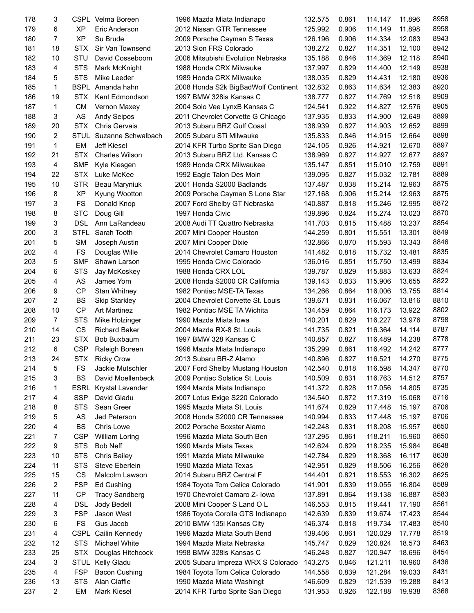| 178 | 3              |             | CSPL Velma Boreen     | 1996 Mazda Miata Indianapo                  | 132.575 | 0.861 | 114.147 | 11.896 | 8958 |
|-----|----------------|-------------|-----------------------|---------------------------------------------|---------|-------|---------|--------|------|
| 179 | 6              | <b>XP</b>   | Eric Anderson         | 2012 Nissan GTR Tennessee                   | 125.992 | 0.906 | 114.149 | 11.898 | 8958 |
| 180 | $\overline{7}$ | <b>XP</b>   | Su Brude              | 2009 Porsche Cayman S Texas                 | 126.196 | 0.906 | 114.334 | 12.083 | 8943 |
| 181 | 18             | <b>STX</b>  | Sir Van Townsend      | 2013 Sion FRS Colorado                      | 138.272 | 0.827 | 114.351 | 12.100 | 8942 |
| 182 | 10             | STU         | David Cosseboom       | 2006 Mitsubishi Evolution Nebraska          | 135.188 | 0.846 | 114.369 | 12.118 | 8940 |
| 183 | 4              | <b>STS</b>  | Mark McKnight         | 1988 Honda CRX Milwauke                     | 137.997 | 0.829 | 114.400 | 12.149 | 8938 |
| 184 | 5              | <b>STS</b>  | Mike Leeder           | 1989 Honda CRX Milwauke                     | 138.035 | 0.829 | 114.431 | 12.180 | 8936 |
| 185 | 1              |             | BSPL Amanda hahn      | 2008 Honda S2k BigBadWolf Continent 132.832 |         | 0.863 | 114.634 | 12.383 | 8920 |
| 186 | 19             | <b>STX</b>  | Kent Edmondson        | 1997 BMW 328is Kansas C                     | 138.777 | 0.827 | 114.769 | 12.518 | 8909 |
| 187 | 1              | <b>CM</b>   | Vernon Maxey          | 2004 Solo Vee LynxB Kansas C                | 124.541 | 0.922 | 114.827 | 12.576 | 8905 |
| 188 | 3              | AS          | <b>Andy Seipos</b>    | 2011 Chevrolet Corvette G Chicago           | 137.935 | 0.833 | 114.900 | 12.649 | 8899 |
| 189 | 20             | <b>STX</b>  | <b>Chris Gervais</b>  | 2013 Subaru BRZ Gulf Coast                  | 138.939 | 0.827 | 114.903 | 12.652 | 8899 |
| 190 | 2              | STUL        | Suzanne Schwalbach    | 2005 Subaru STi Milwauke                    | 135.833 | 0.846 | 114.915 | 12.664 | 8898 |
| 191 | 1              | EM          | Jeff Kiesel           | 2014 KFR Turbo Sprite San Diego             | 124.105 | 0.926 | 114.921 | 12.670 | 8897 |
| 192 | 21             | <b>STX</b>  | <b>Charles Wilson</b> | 2013 Subaru BRZ Ltd. Kansas C               | 138.969 | 0.827 | 114.927 | 12.677 | 8897 |
| 193 | 4              | <b>SMF</b>  | Kyle Kiesgen          | 1989 Honda CRX Milwaukee                    | 135.147 | 0.851 | 115.010 | 12.759 | 8891 |
| 194 | 22             | <b>STX</b>  | Luke McKee            | 1992 Eagle Talon Des Moin                   | 139.095 | 0.827 | 115.032 | 12.781 | 8889 |
| 195 | 10             | <b>STR</b>  | Beau Maryniuk         | 2001 Honda S2000 Badlands                   | 137.487 | 0.838 | 115.214 | 12.963 | 8875 |
| 196 | 8              | <b>XP</b>   |                       | 2009 Porsche Cayman S Lone Star             | 127.168 | 0.906 | 115.214 | 12.963 | 8875 |
| 197 | 3              | FS          | Kyung Wootton         |                                             |         |       | 115.246 | 12.995 | 8872 |
|     |                |             | Donald Knop           | 2007 Ford Shelby GT Nebraska                | 140.887 | 0.818 |         |        | 8870 |
| 198 | 8              | <b>STC</b>  | Doug Gill             | 1997 Honda Civic                            | 139.896 | 0.824 | 115.274 | 13.023 |      |
| 199 | 3              | <b>DSL</b>  | Ann LaRandeau         | 2008 Audi TT Quattro Nebraska               | 141.703 | 0.815 | 115.488 | 13.237 | 8854 |
| 200 | 3              | <b>STFL</b> | Sarah Tooth           | 2007 Mini Cooper Houston                    | 144.259 | 0.801 | 115.551 | 13.301 | 8849 |
| 201 | 5              | <b>SM</b>   | Joseph Austin         | 2007 Mini Cooper Dixie                      | 132.866 | 0.870 | 115.593 | 13.343 | 8846 |
| 202 | 4              | <b>FS</b>   | Douglas Wille         | 2014 Chevrolet Camaro Houston               | 141.482 | 0.818 | 115.732 | 13.481 | 8835 |
| 203 | 5              | <b>SMF</b>  | Shawn Larson          | 1995 Honda Civic Colorado                   | 136.016 | 0.851 | 115.750 | 13.499 | 8834 |
| 204 | 6              | <b>STS</b>  | Jay McKoskey          | 1988 Honda CRX LOL                          | 139.787 | 0.829 | 115.883 | 13.633 | 8824 |
| 205 | 4              | AS          | James Yom             | 2008 Honda S2000 CR California              | 139.143 | 0.833 | 115.906 | 13.655 | 8822 |
| 206 | 9              | <b>CP</b>   | Stan Whitney          | 1982 Pontiac MSE-TA Texas                   | 134.266 | 0.864 | 116.006 | 13.755 | 8814 |
| 207 | 2              | <b>BS</b>   | <b>Skip Starkley</b>  | 2004 Chevrolet Corvette St. Louis           | 139.671 | 0.831 | 116.067 | 13.816 | 8810 |
| 208 | 10             | <b>CP</b>   | <b>Art Martinez</b>   | 1982 Pontiac MSE TA Wichita                 | 134.459 | 0.864 | 116.173 | 13.922 | 8802 |
| 209 | 7              | <b>STS</b>  | Mike Holzinger        | 1990 Mazda Miata Iowa                       | 140.201 | 0.829 | 116.227 | 13.976 | 8798 |
| 210 | 14             | <b>CS</b>   | <b>Richard Baker</b>  | 2004 Mazda RX-8 St. Louis                   | 141.735 | 0.821 | 116.364 | 14.114 | 8787 |
| 211 | 23             | <b>STX</b>  | Bob Buxbaum           | 1997 BMW 328 Kansas C                       | 140.857 | 0.827 | 116.489 | 14.238 | 8778 |
| 212 | 6              | <b>CSP</b>  | Raleigh Boreen        | 1996 Mazda Miata Indianapo                  | 135.299 | 0.861 | 116.492 | 14.242 | 8777 |
| 213 | 24             | <b>STX</b>  | <b>Ricky Crow</b>     | 2013 Subaru BR-Z Alamo                      | 140.896 | 0.827 | 116.521 | 14.270 | 8775 |
| 214 | 5              | FS          | Jackie Mutschler      | 2007 Ford Shelby Mustang Houston            | 142.540 | 0.818 | 116.598 | 14.347 | 8770 |
| 215 | 3              | <b>BS</b>   | David Moellenbeck     | 2009 Pontiac Solstice St. Louis             | 140.509 | 0.831 | 116.763 | 14.512 | 8757 |
| 216 | 1              | ESRL        | Krystal Lavender      | 1994 Mazda Miata Indianapo                  | 141.372 | 0.828 | 117.056 | 14.805 | 8735 |
| 217 | 4              | <b>SSP</b>  | David Gladu           | 2007 Lotus Exige S220 Colorado              | 134.540 | 0.872 | 117.319 | 15.068 | 8716 |
| 218 | 8              | <b>STS</b>  | Sean Greer            | 1995 Mazda Miata St. Louis                  | 141.674 | 0.829 | 117.448 | 15.197 | 8706 |
| 219 | 5              | AS          | Jed Peterson          | 2008 Honda S2000 CR Tennessee               | 140.994 | 0.833 | 117.448 | 15.197 | 8706 |
| 220 | 4              | <b>BS</b>   | Chris Lowe            | 2002 Porsche Boxster Alamo                  | 142.248 | 0.831 | 118.208 | 15.957 | 8650 |
| 221 | 7              | <b>CSP</b>  | <b>William Loring</b> | 1996 Mazda Miata South Ben                  | 137.295 | 0.861 | 118.211 | 15.960 | 8650 |
| 222 | 9              | <b>STS</b>  | Bob Neff              | 1990 Mazda Miata Texas                      | 142.624 | 0.829 | 118.235 | 15.984 | 8648 |
| 223 | 10             | <b>STS</b>  | <b>Chris Bailey</b>   | 1991 Mazda Miata Milwauke                   | 142.784 | 0.829 | 118.368 | 16.117 | 8638 |
| 224 | 11             | <b>STS</b>  | Steve Eberlein        | 1990 Mazda Miata Texas                      | 142.951 | 0.829 | 118.506 | 16.256 | 8628 |
| 225 | 15             | CS          | Malcolm Lawson        | 2014 Subaru BRZ Central F                   | 144.401 | 0.821 | 118.553 | 16.302 | 8625 |
| 226 | 2              | <b>FSP</b>  | Ed Cushing            | 1984 Toyota Tom Celica Colorado             | 141.901 | 0.839 | 119.055 | 16.804 | 8589 |
| 227 | 11             | <b>CP</b>   | <b>Tracy Sandberg</b> | 1970 Chevrolet Camaro Z- Iowa               | 137.891 | 0.864 | 119.138 | 16.887 | 8583 |
| 228 | 4              | <b>DSL</b>  | Jody Bedell           | 2008 Mini Cooper S Land O L                 | 146.553 | 0.815 | 119.441 | 17.190 | 8561 |
| 229 | 3              | <b>FSP</b>  | Jason West            | 1986 Toyota Corolla GTS Indianapo           | 142.639 | 0.839 | 119.674 | 17.423 | 8544 |
| 230 | 6              | FS          | Gus Jacob             | 2010 BMW 135i Kansas City                   | 146.374 | 0.818 | 119.734 | 17.483 | 8540 |
| 231 | 4              | <b>CSPL</b> | Cailin Kennedy        | 1996 Mazda Miata South Bend                 | 139.406 | 0.861 | 120.029 | 17.778 | 8519 |
| 232 | 12             | <b>STS</b>  | Michael White         | 1994 Mazda Miata Nebraska                   | 145.747 | 0.829 | 120.824 | 18.573 | 8463 |
| 233 | 25             | <b>STX</b>  |                       |                                             |         |       |         |        | 8454 |
|     |                |             | Douglas Hitchcock     | 1998 BMW 328is Kansas C                     | 146.248 | 0.827 | 120.947 | 18.696 | 8436 |
| 234 | 3              | <b>STUL</b> | Kelly Gladu           | 2005 Subaru Impreza WRX S Colorado          | 143.275 | 0.846 | 121.211 | 18.960 |      |
| 235 | 4              | <b>FSP</b>  | <b>Bacon Cushing</b>  | 1984 Toyota Tom Celica Colorado             | 144.558 | 0.839 | 121.284 | 19.033 | 8431 |
| 236 | 13             | <b>STS</b>  | Alan Claffie          | 1990 Mazda Miata Washingt                   | 146.609 | 0.829 | 121.539 | 19.288 | 8413 |
| 237 | 2              | EM          | Mark Kiesel           | 2014 KFR Turbo Sprite San Diego             | 131.953 | 0.926 | 122.188 | 19.938 | 8368 |